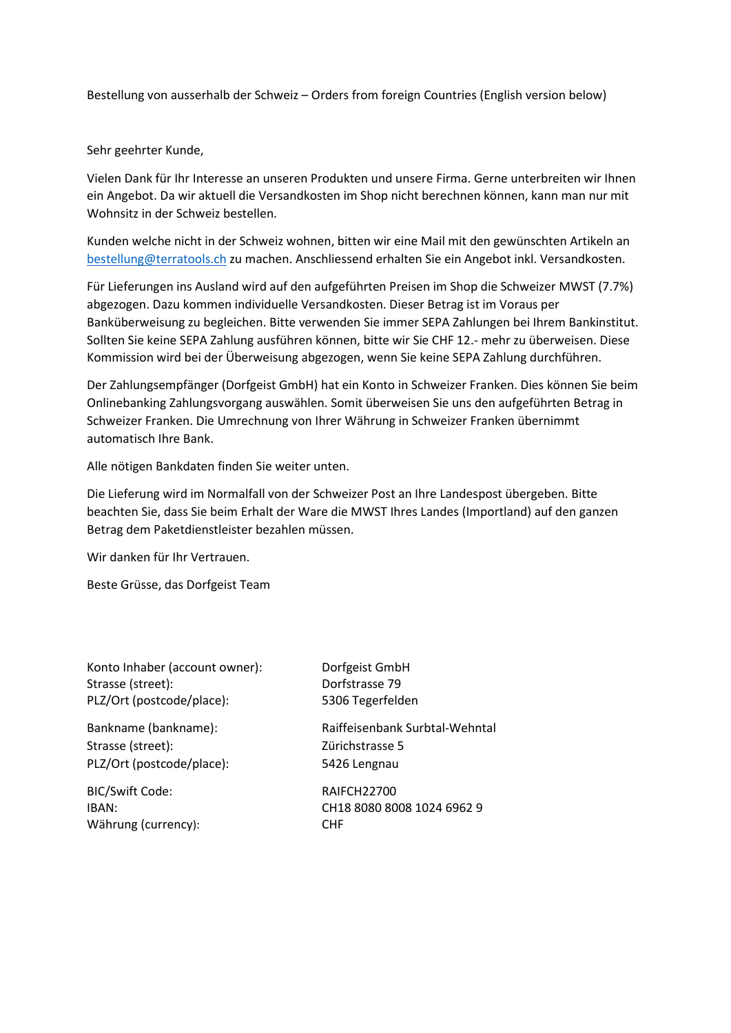Bestellung von ausserhalb der Schweiz – Orders from foreign Countries (English version below)

Sehr geehrter Kunde,

Vielen Dank für Ihr Interesse an unseren Produkten und unsere Firma. Gerne unterbreiten wir Ihnen ein Angebot. Da wir aktuell die Versandkosten im Shop nicht berechnen können, kann man nur mit Wohnsitz in der Schweiz bestellen.

Kunden welche nicht in der Schweiz wohnen, bitten wir eine Mail mit den gewünschten Artikeln an bestellung@terratools.ch zu machen. Anschliessend erhalten Sie ein Angebot inkl. Versandkosten.

Für Lieferungen ins Ausland wird auf den aufgeführten Preisen im Shop die Schweizer MWST (7.7%) abgezogen. Dazu kommen individuelle Versandkosten. Dieser Betrag ist im Voraus per Banküberweisung zu begleichen. Bitte verwenden Sie immer SEPA Zahlungen bei Ihrem Bankinstitut. Sollten Sie keine SEPA Zahlung ausführen können, bitte wir Sie CHF 12.- mehr zu überweisen. Diese Kommission wird bei der Überweisung abgezogen, wenn Sie keine SEPA Zahlung durchführen.

Der Zahlungsempfänger (Dorfgeist GmbH) hat ein Konto in Schweizer Franken. Dies können Sie beim Onlinebanking Zahlungsvorgang auswählen. Somit überweisen Sie uns den aufgeführten Betrag in Schweizer Franken. Die Umrechnung von Ihrer Währung in Schweizer Franken übernimmt automatisch Ihre Bank.

Alle nötigen Bankdaten finden Sie weiter unten.

Die Lieferung wird im Normalfall von der Schweizer Post an Ihre Landespost übergeben. Bitte beachten Sie, dass Sie beim Erhalt der Ware die MWST Ihres Landes (Importland) auf den ganzen Betrag dem Paketdienstleister bezahlen müssen.

Wir danken für Ihr Vertrauen.

Beste Grüsse, das Dorfgeist Team

| Konto Inhaber (account owner): |
|--------------------------------|
| Strasse (street):              |
| PLZ/Ort (postcode/place):      |

Strasse (street): Zürichstrasse 5 PLZ/Ort (postcode/place): 5426 Lengnau

BIC/Swift Code: RAIFCH22700 Währung (currency): CHF

Dorfgeist GmbH Dorfstrasse 79 5306 Tegerfelden

Bankname (bankname): Raiffeisenbank Surbtal-Wehntal

IBAN: CH18 8080 8008 1024 6962 9